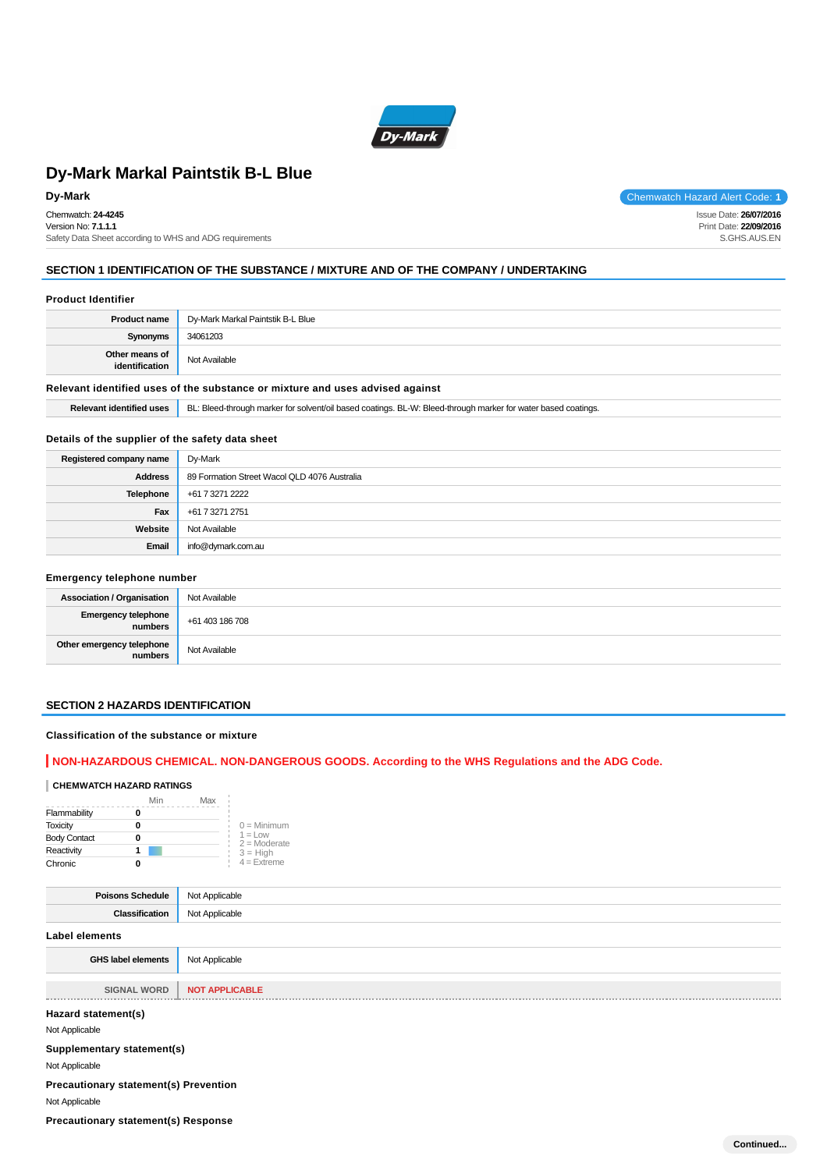

Chemwatch: **24-4245** Version No: **7.1.1.1** Safety Data Sheet according to WHS and ADG requirements

**Dy-Mark** Chemwatch Hazard Alert Code: 1 Issue Date: **26/07/2016**

Print Date: **22/09/2016** S.GHS.AUS.EN

**Continued...**

### **SECTION 1 IDENTIFICATION OF THE SUBSTANCE / MIXTURE AND OF THE COMPANY / UNDERTAKING**

#### **Product Identifier**

| <b>Product name</b>                                                                                                                              | Dy-Mark Markal Paintstik B-L Blue |  |
|--------------------------------------------------------------------------------------------------------------------------------------------------|-----------------------------------|--|
| Synonyms                                                                                                                                         | 34061203                          |  |
| Other means of<br>identification                                                                                                                 | Not Available                     |  |
| Relevant identified uses of the substance or mixture and uses advised against                                                                    |                                   |  |
| BL: Bleed-through marker for solvent/oil based coatings. BL-W: Bleed-through marker for water based coatings.<br><b>Relevant identified uses</b> |                                   |  |

### **Details of the supplier of the safety data sheet**

| Registered company name | Dy-Mark                                      |
|-------------------------|----------------------------------------------|
| <b>Address</b>          | 89 Formation Street Wacol QLD 4076 Australia |
| Telephone               | +61 7 3271 2222                              |
| Fax                     | +61 7 3271 2751                              |
| Website                 | Not Available                                |
| Email                   | info@dymark.com.au                           |

### **Emergency telephone number**

| <b>Association / Organisation</b>           | Not Available |
|---------------------------------------------|---------------|
| Emergency telephone<br>numbers Heta 186 708 |               |
| Other emergency telephone<br>numbers        | Not Available |

# **SECTION 2 HAZARDS IDENTIFICATION**

# **Classification of the substance or mixture**

### **NON-HAZARDOUS CHEMICAL. NON-DANGEROUS GOODS. According to the WHS Regulations and the ADG Code.**

### **CHEMWATCH HAZARD RATINGS**

|                     | Min | Max |                                    |
|---------------------|-----|-----|------------------------------------|
| Flammability        |     |     |                                    |
| <b>Toxicity</b>     |     |     | $0 =$ Minimum                      |
| <b>Body Contact</b> |     |     | $1 = 1$ $\Omega$<br>$2 =$ Moderate |
| Reactivity          |     |     | $3 = High$                         |
| Chronic             |     |     | $4 =$ Extreme                      |

| <b>Poisons Schedule</b>                      | Not Applicable        |
|----------------------------------------------|-----------------------|
| Classification                               | Not Applicable        |
| <b>Label elements</b>                        |                       |
| <b>GHS label elements</b>                    | Not Applicable        |
| <b>SIGNAL WORD</b>                           | <b>NOT APPLICABLE</b> |
| Hazard statement(s)                          |                       |
| Not Applicable                               |                       |
| Supplementary statement(s)                   |                       |
| Not Applicable                               |                       |
| <b>Precautionary statement(s) Prevention</b> |                       |
| Not Applicable                               |                       |
| <b>Precautionary statement(s) Response</b>   |                       |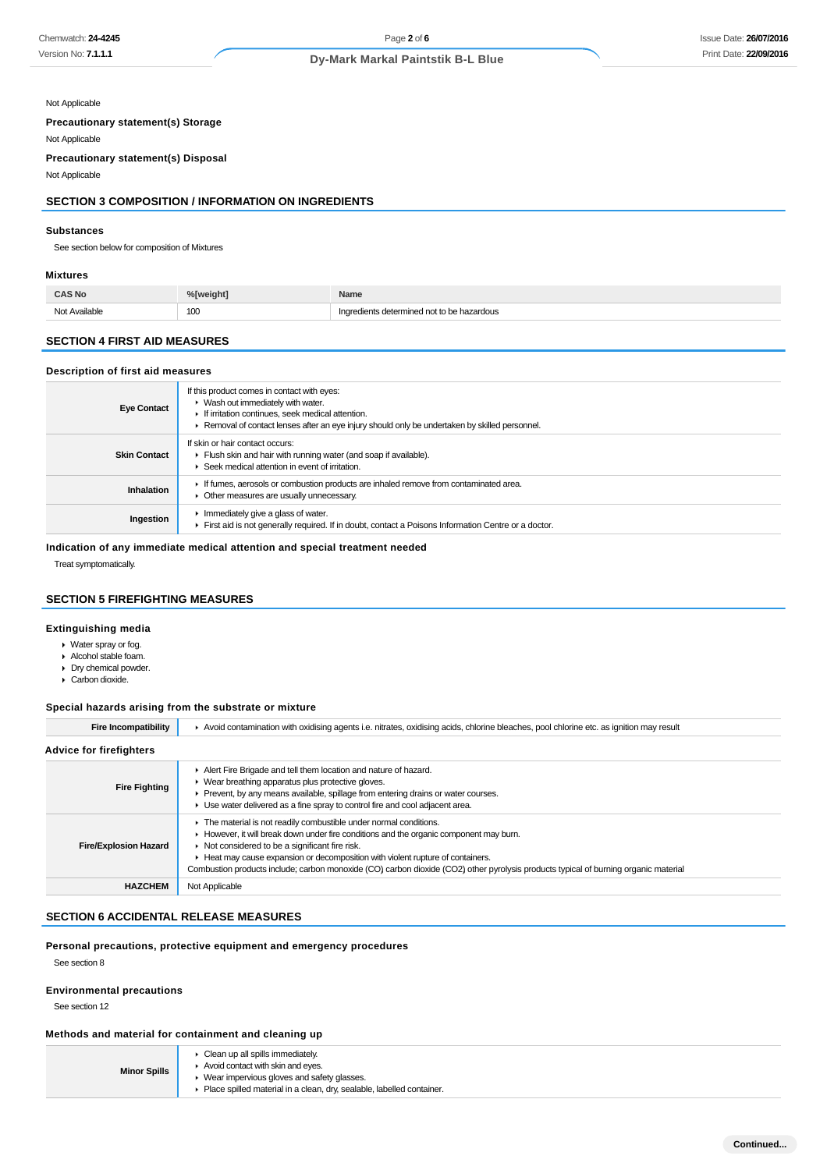Not Applicable

**Precautionary statement(s) Storage**

Not Applicable **Precautionary statement(s) Disposal**

Not Applicable

# **SECTION 3 COMPOSITION / INFORMATION ON INGREDIENTS**

#### **Substances**

See section below for composition of Mixtures

#### **Mixtures**

| CAS No           | %[weight]            | Name                                    |
|------------------|----------------------|-----------------------------------------|
| Available<br>Not | 100<br>$\sim$ $\sim$ | edients determined not to be hazardous. |

# **SECTION 4 FIRST AID MEASURES**

#### **Description of first aid measures**

| <b>Eye Contact</b>  | If this product comes in contact with eyes:<br>▶ Wash out immediately with water.<br>If irritation continues, seek medical attention.<br>► Removal of contact lenses after an eye injury should only be undertaken by skilled personnel. |
|---------------------|------------------------------------------------------------------------------------------------------------------------------------------------------------------------------------------------------------------------------------------|
| <b>Skin Contact</b> | If skin or hair contact occurs:<br>Fiush skin and hair with running water (and soap if available).<br>Seek medical attention in event of irritation.                                                                                     |
| <b>Inhalation</b>   | If fumes, aerosols or combustion products are inhaled remove from contaminated area.<br>• Other measures are usually unnecessary.                                                                                                        |
| Ingestion           | Immediately give a glass of water.<br>First aid is not generally required. If in doubt, contact a Poisons Information Centre or a doctor.                                                                                                |

## **Indication of any immediate medical attention and special treatment needed**

Treat symptomatically.

## **SECTION 5 FIREFIGHTING MEASURES**

## **Extinguishing media**

- Water spray or fog.
- Alcohol stable foam.
- Dry chemical powder.
- ▶ Carbon dioxide.

### **Special hazards arising from the substrate or mixture**

| <b>Fire Incompatibility</b>    | Avoid contamination with oxidising agents i.e. nitrates, oxidising acids, chlorine bleaches, pool chlorine etc. as ignition may result                                                                                                                                                                                                                                                                                                                  |  |  |  |  |
|--------------------------------|---------------------------------------------------------------------------------------------------------------------------------------------------------------------------------------------------------------------------------------------------------------------------------------------------------------------------------------------------------------------------------------------------------------------------------------------------------|--|--|--|--|
| <b>Advice for firefighters</b> |                                                                                                                                                                                                                                                                                                                                                                                                                                                         |  |  |  |  |
| <b>Fire Fighting</b>           | Alert Fire Brigade and tell them location and nature of hazard.<br>• Wear breathing apparatus plus protective gloves.<br>▶ Prevent, by any means available, spillage from entering drains or water courses.<br>• Use water delivered as a fine spray to control fire and cool adjacent area.                                                                                                                                                            |  |  |  |  |
| <b>Fire/Explosion Hazard</b>   | The material is not readily combustible under normal conditions.<br>► However, it will break down under fire conditions and the organic component may burn.<br>$\triangleright$ Not considered to be a significant fire risk.<br>► Heat may cause expansion or decomposition with violent rupture of containers.<br>Combustion products include; carbon monoxide (CO) carbon dioxide (CO2) other pyrolysis products typical of burning organic material |  |  |  |  |
| <b>HAZCHEM</b>                 | Not Applicable                                                                                                                                                                                                                                                                                                                                                                                                                                          |  |  |  |  |

# **SECTION 6 ACCIDENTAL RELEASE MEASURES**

### **Personal precautions, protective equipment and emergency procedures**

See section 8

#### **Environmental precautions**

See section 12

### **Methods and material for containment and cleaning up**

| <b>Minor Spills</b> | $\triangleright$ Clean up all spills immediately.<br>Avoid contact with skin and eves.                                |  |  |
|---------------------|-----------------------------------------------------------------------------------------------------------------------|--|--|
|                     | Wear impervious gloves and safety glasses.<br>• Place spilled material in a clean, drv. sealable, labelled container, |  |  |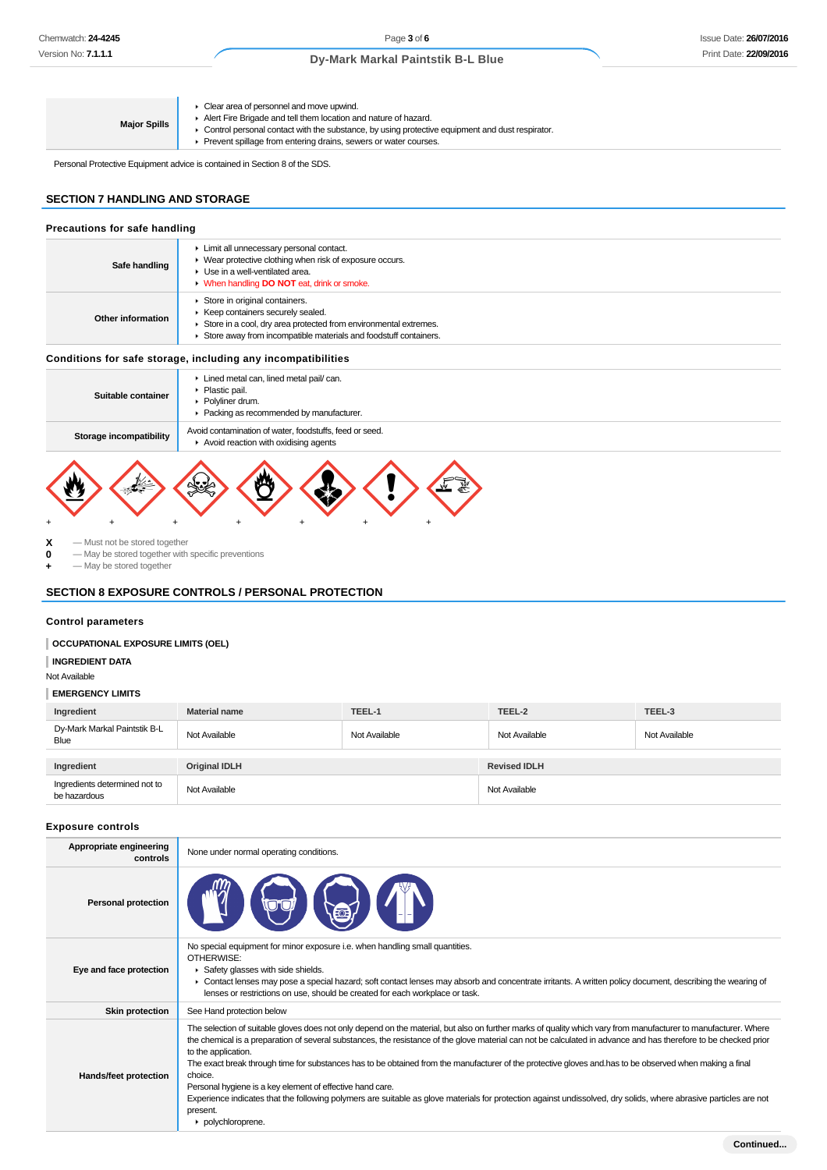**Major Spills** Clear area of personnel and move upwind. Alert Fire Brigade and tell them location and nature of hazard. Control personal contact with the substance, by using protective equipment and dust respirator. Prevent spillage from entering drains, sewers or water courses.

Personal Protective Equipment advice is contained in Section 8 of the SDS.

# **SECTION 7 HANDLING AND STORAGE**

| Precautions for safe handling                                |                                                                                                                                                                                                                   |  |  |
|--------------------------------------------------------------|-------------------------------------------------------------------------------------------------------------------------------------------------------------------------------------------------------------------|--|--|
| Safe handling                                                | Limit all unnecessary personal contact.<br>▶ Wear protective clothing when risk of exposure occurs.<br>$\blacktriangleright$ Use in a well-ventilated area.<br>• When handling <b>DO NOT</b> eat, drink or smoke. |  |  |
| Other information                                            | Store in original containers.<br>▶ Keep containers securely sealed.<br>Store in a cool, dry area protected from environmental extremes.<br>Store away from incompatible materials and foodstuff containers.       |  |  |
| Conditions for safe storage, including any incompatibilities |                                                                                                                                                                                                                   |  |  |
| Suitable container                                           | Lined metal can, lined metal pail/can.<br>• Plastic pail.<br>• Polyliner drum.<br>Packing as recommended by manufacturer.                                                                                         |  |  |
| Storage incompatibility                                      | Avoid contamination of water, foodstuffs, feed or seed.<br>. A control or a reaction containt a coloring to an annual and                                                                                         |  |  |

Avoid reaction with oxidising agents + + + + + + +

**X** — Must not be stored together<br> **0** — May be stored together with **0** — May be stored together with specific preventions

**+** — May be stored together

### **SECTION 8 EXPOSURE CONTROLS / PERSONAL PROTECTION**

### **Control parameters**

#### **OCCUPATIONAL EXPOSURE LIMITS (OEL)**

**INGREDIENT DATA**

#### Not Available

#### **EMERGENCY LIMITS**

| Ingredient                                    | <b>Material name</b> | TEEL-1        | TEEL-2              | TEEL-3        |
|-----------------------------------------------|----------------------|---------------|---------------------|---------------|
| Dy-Mark Markal Paintstik B-L<br>Blue          | Not Available        | Not Available | Not Available       | Not Available |
|                                               |                      |               |                     |               |
| Ingredient                                    | <b>Original IDLH</b> |               | <b>Revised IDLH</b> |               |
| Ingredients determined not to<br>be hazardous | Not Available        |               | Not Available       |               |

### **Exposure controls**

| Appropriate engineering<br>controls | None under normal operating conditions.                                                                                                                                                                                                                                                                                                                                                                                                                                                                                                                                                                                                                                                                                                                                                             |  |  |
|-------------------------------------|-----------------------------------------------------------------------------------------------------------------------------------------------------------------------------------------------------------------------------------------------------------------------------------------------------------------------------------------------------------------------------------------------------------------------------------------------------------------------------------------------------------------------------------------------------------------------------------------------------------------------------------------------------------------------------------------------------------------------------------------------------------------------------------------------------|--|--|
| <b>Personal protection</b>          |                                                                                                                                                                                                                                                                                                                                                                                                                                                                                                                                                                                                                                                                                                                                                                                                     |  |  |
| Eye and face protection             | No special equipment for minor exposure i.e. when handling small quantities.<br>OTHERWISE:<br>Safety glasses with side shields.<br>▶ Contact lenses may pose a special hazard; soft contact lenses may absorb and concentrate irritants. A written policy document, describing the wearing of<br>lenses or restrictions on use, should be created for each workplace or task.                                                                                                                                                                                                                                                                                                                                                                                                                       |  |  |
| <b>Skin protection</b>              | See Hand protection below                                                                                                                                                                                                                                                                                                                                                                                                                                                                                                                                                                                                                                                                                                                                                                           |  |  |
| <b>Hands/feet protection</b>        | The selection of suitable gloves does not only depend on the material, but also on further marks of quality which vary from manufacturer to manufacturer. Where<br>the chemical is a preparation of several substances, the resistance of the glove material can not be calculated in advance and has therefore to be checked prior<br>to the application.<br>The exact break through time for substances has to be obtained from the manufacturer of the protective gloves and has to be observed when making a final<br>choice.<br>Personal hygiene is a key element of effective hand care.<br>Experience indicates that the following polymers are suitable as glove materials for protection against undissolved, dry solids, where abrasive particles are not<br>present.<br>polychloroprene. |  |  |
|                                     | Continued                                                                                                                                                                                                                                                                                                                                                                                                                                                                                                                                                                                                                                                                                                                                                                                           |  |  |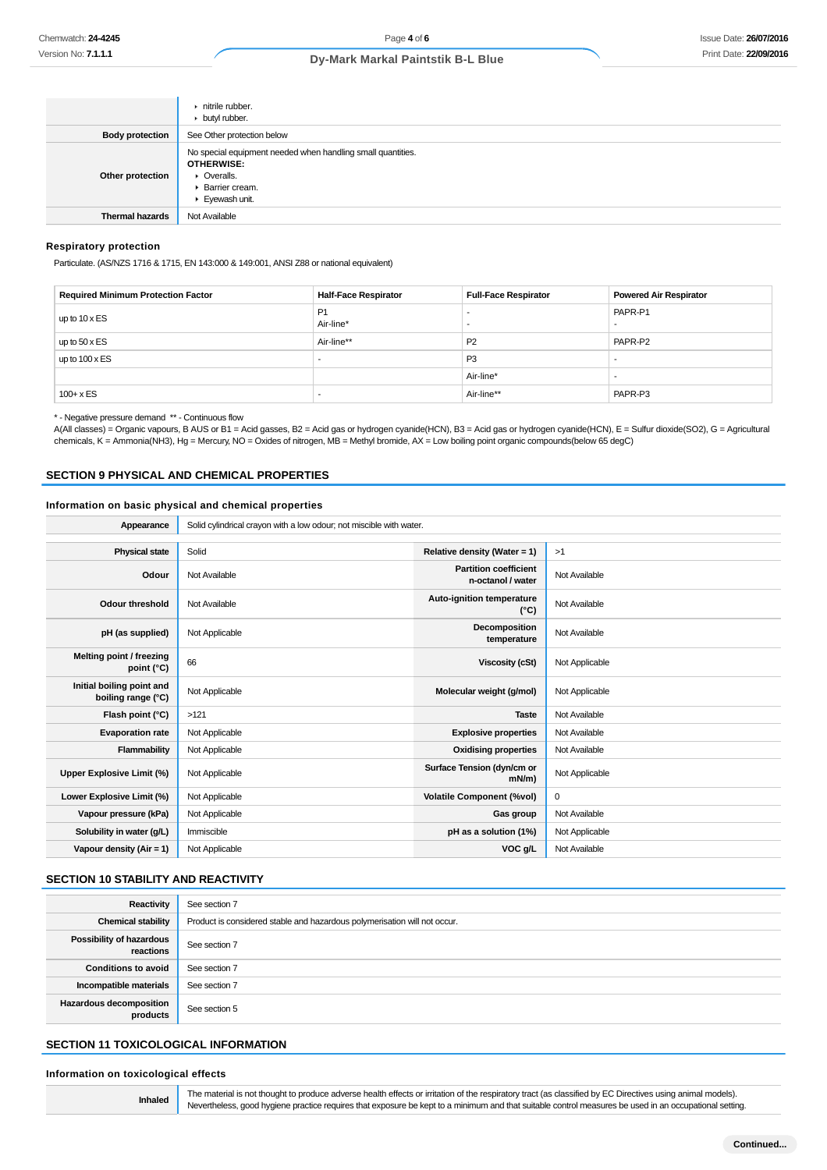|                        | $\triangleright$ nitrile rubber.<br>butyl rubber.                                                                                    |
|------------------------|--------------------------------------------------------------------------------------------------------------------------------------|
| <b>Body protection</b> | See Other protection below                                                                                                           |
| Other protection       | No special equipment needed when handling small quantities.<br><b>OTHERWISE:</b><br>• Overalls.<br>• Barrier cream.<br>Eyewash unit. |
| <b>Thermal hazards</b> | Not Available                                                                                                                        |

#### **Respiratory protection**

Particulate. (AS/NZS 1716 & 1715, EN 143:000 & 149:001, ANSI Z88 or national equivalent)

| <b>Required Minimum Protection Factor</b> | <b>Half-Face Respirator</b> | <b>Full-Face Respirator</b> | <b>Powered Air Respirator</b> |
|-------------------------------------------|-----------------------------|-----------------------------|-------------------------------|
| up to $10 \times ES$                      | P <sub>1</sub><br>Air-line* |                             | PAPR-P1                       |
| up to $50 \times ES$                      | Air-line**                  | P <sub>2</sub>              | PAPR-P2                       |
| up to $100 \times ES$                     |                             | P <sub>3</sub>              |                               |
|                                           |                             | Air-line*                   |                               |
| $100 + x ES$                              |                             | Air-line**                  | PAPR-P3                       |

\* - Negative pressure demand \*\* - Continuous flow

A(All classes) = Organic vapours, B AUS or B1 = Acid gasses, B2 = Acid gas or hydrogen cyanide(HCN), B3 = Acid gas or hydrogen cyanide(HCN), E = Sulfur dioxide(SO2), G = Agricultural chemicals, K = Ammonia(NH3), Hg = Mercury, NO = Oxides of nitrogen, MB = Methyl bromide, AX = Low boiling point organic compounds(below 65 degC)

#### **SECTION 9 PHYSICAL AND CHEMICAL PROPERTIES**

#### **Information on basic physical and chemical properties**

Appearance Solid cylindrical crayon with a low odour; not miscible with water.

| <b>Physical state</b>                           | Solid          | Relative density (Water = 1)                      | >1             |
|-------------------------------------------------|----------------|---------------------------------------------------|----------------|
| Odour                                           | Not Available  | <b>Partition coefficient</b><br>n-octanol / water | Not Available  |
| Odour threshold                                 | Not Available  | Auto-ignition temperature<br>$(^{\circ}C)$        | Not Available  |
| pH (as supplied)                                | Not Applicable | Decomposition<br>temperature                      | Not Available  |
| Melting point / freezing<br>point $(^{\circ}C)$ | 66             | Viscosity (cSt)                                   | Not Applicable |
| Initial boiling point and<br>boiling range (°C) | Not Applicable | Molecular weight (g/mol)                          | Not Applicable |
| Flash point (°C)                                | >121           | <b>Taste</b>                                      | Not Available  |
| <b>Evaporation rate</b>                         | Not Applicable | <b>Explosive properties</b>                       | Not Available  |
| Flammability                                    | Not Applicable | <b>Oxidising properties</b>                       | Not Available  |
| Upper Explosive Limit (%)                       | Not Applicable | Surface Tension (dyn/cm or<br>$mN/m$ )            | Not Applicable |
| Lower Explosive Limit (%)                       | Not Applicable | <b>Volatile Component (%vol)</b>                  | 0              |
| Vapour pressure (kPa)                           | Not Applicable | Gas group                                         | Not Available  |
| Solubility in water (g/L)                       | Immiscible     | pH as a solution (1%)                             | Not Applicable |
| Vapour density (Air = 1)                        | Not Applicable | VOC g/L                                           | Not Available  |
|                                                 |                |                                                   |                |

### **SECTION 10 STABILITY AND REACTIVITY**

| <b>Reactivity</b>                          | See section 7                                                             |
|--------------------------------------------|---------------------------------------------------------------------------|
| <b>Chemical stability</b>                  | Product is considered stable and hazardous polymerisation will not occur. |
| Possibility of hazardous<br>reactions      | See section 7                                                             |
| <b>Conditions to avoid</b>                 | See section 7                                                             |
| Incompatible materials                     | See section 7                                                             |
| <b>Hazardous decomposition</b><br>products | See section 5                                                             |

## **SECTION 11 TOXICOLOGICAL INFORMATION**

#### **Information on toxicological effects**

**Inhaled** The material is not thought to produce adverse health effects or irritation of the respiratory tract (as classified by EC Directives using animal models). Nevertheless, good hygiene practice requires that exposure be kept to a minimum and that suitable control measures be used in an occupational setting.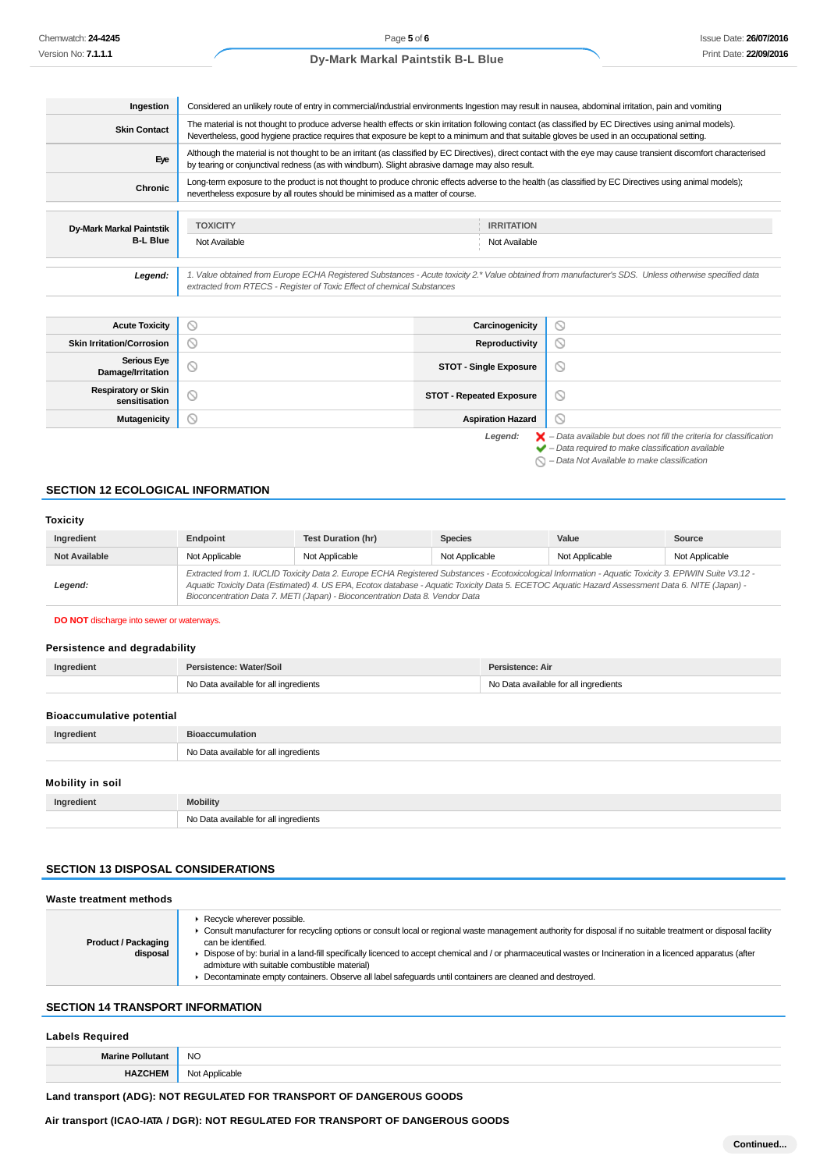| Ingestion                                   | Considered an unlikely route of entry in commercial/industrial environments Ingestion may result in nausea, abdominal irritation, pain and vomiting                                                                                                                                                      |                                    |  |
|---------------------------------------------|----------------------------------------------------------------------------------------------------------------------------------------------------------------------------------------------------------------------------------------------------------------------------------------------------------|------------------------------------|--|
| <b>Skin Contact</b>                         | The material is not thought to produce adverse health effects or skin irritation following contact (as classified by EC Directives using animal models).<br>Nevertheless, good hygiene practice requires that exposure be kept to a minimum and that suitable gloves be used in an occupational setting. |                                    |  |
| Eye                                         | Although the material is not thought to be an irritant (as classified by EC Directives), direct contact with the eye may cause transient discomfort characterised<br>by tearing or conjunctival redness (as with windburn). Slight abrasive damage may also result.                                      |                                    |  |
| Chronic                                     | Long-term exposure to the product is not thought to produce chronic effects adverse to the health (as classified by EC Directives using animal models);<br>nevertheless exposure by all routes should be minimised as a matter of course.                                                                |                                    |  |
| Dy-Mark Markal Paintstik<br><b>B-L Blue</b> | <b>TOXICITY</b><br>Not Available                                                                                                                                                                                                                                                                         | <b>IRRITATION</b><br>Not Available |  |

1. Value obtained from Europe ECHA Registered Substances - Acute toxicity 2.\* Value obtained from manufacturer's SDS. Unless otherwise specified data<br>extracted from RTECS - Register of Toxic Effect of chemical Substances

| <b>Acute Toxicity</b>                       | D.                  | Carcinogenicity                 | $\circ$                                                                                                                                                            |
|---------------------------------------------|---------------------|---------------------------------|--------------------------------------------------------------------------------------------------------------------------------------------------------------------|
| <b>Skin Irritation/Corrosion</b>            | $\scriptstyle\circ$ | Reproductivity                  | $\circ$                                                                                                                                                            |
| <b>Serious Eye</b><br>Damage/Irritation     | D                   | <b>STOT - Single Exposure</b>   | $\circ$                                                                                                                                                            |
| <b>Respiratory or Skin</b><br>sensitisation | $\circ$             | <b>STOT - Repeated Exposure</b> | $\circ$                                                                                                                                                            |
| <b>Mutagenicity</b>                         | S                   | <b>Aspiration Hazard</b>        | $\circ$                                                                                                                                                            |
|                                             |                     | Legend:                         | $\blacktriangleright$ - Data available but does not fill the criteria for classification<br>$\blacktriangleright$ - Data required to make classification available |

 $\bigcirc$  – Data Not Available to make classification

### **SECTION 12 ECOLOGICAL INFORMATION**

#### **Toxicity**

| Ingredient           | Endpoint                                                                                                                                                                                                                                                                                                                                                                                 | <b>Test Duration (hr)</b> | <b>Species</b> | Value          | Source         |
|----------------------|------------------------------------------------------------------------------------------------------------------------------------------------------------------------------------------------------------------------------------------------------------------------------------------------------------------------------------------------------------------------------------------|---------------------------|----------------|----------------|----------------|
| <b>Not Available</b> | Not Applicable                                                                                                                                                                                                                                                                                                                                                                           | Not Applicable            | Not Applicable | Not Applicable | Not Applicable |
| Legend:              | Extracted from 1. IUCLID Toxicity Data 2. Europe ECHA Registered Substances - Ecotoxicological Information - Aquatic Toxicity 3. EPIWIN Suite V3.12 -<br>Aquatic Toxicity Data (Estimated) 4. US EPA, Ecotox database - Aquatic Toxicity Data 5. ECETOC Aquatic Hazard Assessment Data 6. NITE (Japan) -<br>Bioconcentration Data 7. METI (Japan) - Bioconcentration Data 8. Vendor Data |                           |                |                |                |

#### **DO NOT** discharge into sewer or waterways.

### **Persistence and degradability**

| Ingredient | Persistence: Water/Soil               | Persistence: Air                      |
|------------|---------------------------------------|---------------------------------------|
|            | No Data available for all ingredients | No Data available for all ingredients |
|            |                                       |                                       |

### **Bioaccumulative potential**

| $\mathbf{m}$ |     |
|--------------|-----|
|              | ⊵nt |

## **Mobility in soil**

| Ingredient | <b>Mobility</b>                       |
|------------|---------------------------------------|
|            | No Data available for all ingredients |

### **SECTION 13 DISPOSAL CONSIDERATIONS**

**Waste treatment methods**

| Recycle wherever possible.<br>• Consult manufacturer for recycling options or consult local or regional waste management authority for disposal if no suitable treatment or disposal facility<br><b>Product / Packaging</b><br>can be identified.<br>Dispose of by: burial in a land-fill specifically licenced to accept chemical and / or pharmaceutical wastes or Incineration in a licenced apparatus (after<br>disposal<br>admixture with suitable combustible material)<br>Decontaminate empty containers. Observe all label safequards until containers are cleaned and destroyed. |
|-------------------------------------------------------------------------------------------------------------------------------------------------------------------------------------------------------------------------------------------------------------------------------------------------------------------------------------------------------------------------------------------------------------------------------------------------------------------------------------------------------------------------------------------------------------------------------------------|
|-------------------------------------------------------------------------------------------------------------------------------------------------------------------------------------------------------------------------------------------------------------------------------------------------------------------------------------------------------------------------------------------------------------------------------------------------------------------------------------------------------------------------------------------------------------------------------------------|

### **SECTION 14 TRANSPORT INFORMATION**

#### **Labels Required**

| <b>NO</b> |
|-----------|
|           |

# **Land transport (ADG): NOT REGULATED FOR TRANSPORT OF DANGEROUS GOODS**